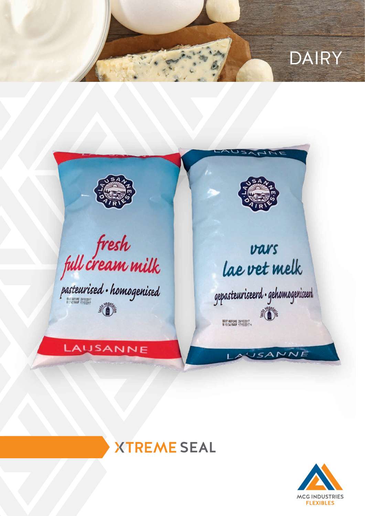## **DAIRY**



fresh<br>full cream milk<br>pasteurised · homogenised

LAUSANNE

## vars lae vet melk

gepasteuriseerd · gehomogeniseerd **ROAD RES** 

**JSANNE** 

## **XTREME SEAL**